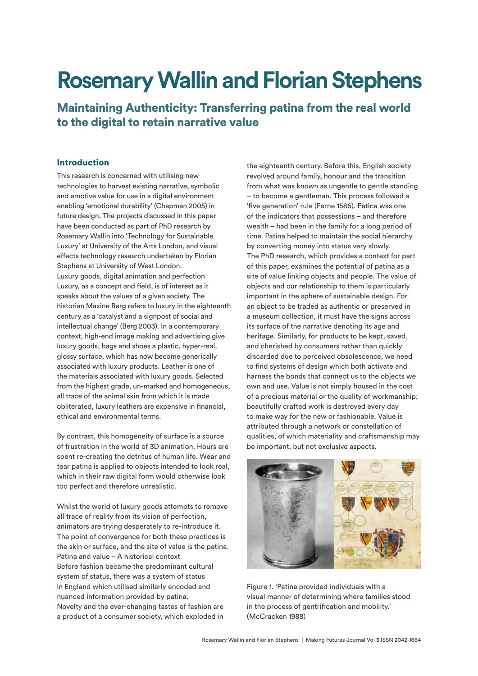# **Rosemary Wallin and Florian Stephens**

Maintaining Authenticity: Transferring patina from the real world to the digital to retain narrative value

# Introduction

This research is concerned with utilising new technologies to harvest existing narrative, symbolic and emotive value for use in a digital environment enabling 'emotional durability' (Chapman 2005) in future design. The projects discussed in this paper have been conducted as part of PhD research by Rosemary Wallin into 'Technology for Sustainable Luxury' at University of the Arts London, and visual efects technology research undertaken by Florian Stephens at University of West London. Luxury goods, digital animation and perfection Luxury, as a concept and field, is of interest as it speaks about the values of a given society. The historian Maxine Berg refers to luxury in the eighteenth century as a 'catalyst and a signpost of social and intellectual change' (Berg 2003). In a contemporary context, high-end image making and advertising give luxury goods, bags and shoes a plastic, hyper-real, glossy surface, which has now become generically associated with luxury products. Leather is one of the materials associated with luxury goods. Selected from the highest grade, un-marked and homogeneous, all trace of the animal skin from which it is made obliterated, luxury leathers are expensive in fnancial, ethical and environmental terms.

By contrast, this homogeneity of surface is a source of frustration in the world of 3D animation. Hours are spent re-creating the detritus of human life. Wear and tear patina is applied to objects intended to look real, which in their raw digital form would otherwise look too perfect and therefore unrealistic.

Whilst the world of luxury goods attempts to remove all trace of reality from its vision of perfection, animators are trying desperately to re-introduce it. The point of convergence for both these practices is the skin or surface, and the site of value is the patina. Patina and value – A historical context Before fashion became the predominant cultural system of status, there was a system of status in England which utilised similarly encoded and nuanced information provided by patina. Novelty and the ever-changing tastes of fashion are a product of a consumer society, which exploded in

the eighteenth century. Before this, English society revolved around family, honour and the transition from what was known as ungentle to gentle standing – to become a gentleman. This process followed a 'five generation' rule (Ferne 1586). Patina was one of the indicators that possessions – and therefore wealth – had been in the family for a long period of time. Patina helped to maintain the social hierarchy by converting money into status very slowly. The PhD research, which provides a context for part of this paper, examines the potential of patina as a site of value linking objects and people. The value of objects and our relationship to them is particularly important in the sphere of sustainable design. For an object to be traded as authentic or preserved in a museum collection, it must have the signs across its surface of the narrative denoting its age and heritage. Similarly, for products to be kept, saved, and cherished by consumers rather than quickly discarded due to perceived obsolescence, we need to fnd systems of design which both activate and harness the bonds that connect us to the objects we own and use. Value is not simply housed in the cost of a precious material or the quality of workmanship; beautifully crafted work is destroyed every day to make way for the new or fashionable. Value is attributed through a network or constellation of qualities, of which materiality and craftsmanship may be important, but not exclusive aspects.



Figure 1. 'Patina provided individuals with a visual manner of determining where families stood in the process of gentrifcation and mobility.' (McCracken 1988)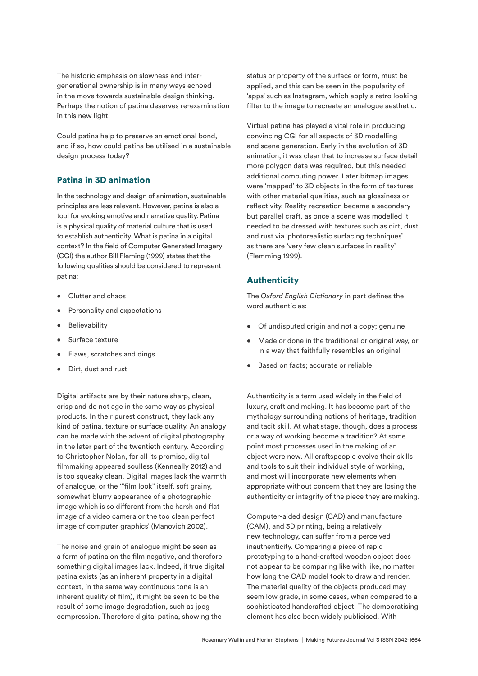The historic emphasis on slowness and intergenerational ownership is in many ways echoed in the move towards sustainable design thinking. Perhaps the notion of patina deserves re-examination in this new light.

Could patina help to preserve an emotional bond, and if so, how could patina be utilised in a sustainable design process today?

# Patina in 3D animation

In the technology and design of animation, sustainable principles are less relevant. However, patina is also a tool for evoking emotive and narrative quality. Patina is a physical quality of material culture that is used to establish authenticity. What is patina in a digital context? In the field of Computer Generated Imagery (CGI) the author Bill Fleming (1999) states that the following qualities should be considered to represent patina:

- Clutter and chaos
- Personality and expectations
- **Believability**
- Surface texture
- Flaws, scratches and dings
- Dirt, dust and rust

Digital artifacts are by their nature sharp, clean, crisp and do not age in the same way as physical products. In their purest construct, they lack any kind of patina, texture or surface quality. An analogy can be made with the advent of digital photography in the later part of the twentieth century. According to Christopher Nolan, for all its promise, digital flmmaking appeared soulless (Kenneally 2012) and is too squeaky clean. Digital images lack the warmth of analogue, or the '"flm look" itself, soft grainy, somewhat blurry appearance of a photographic image which is so different from the harsh and flat image of a video camera or the too clean perfect image of computer graphics' (Manovich 2002).

The noise and grain of analogue might be seen as a form of patina on the flm negative, and therefore something digital images lack. Indeed, if true digital patina exists (as an inherent property in a digital context, in the same way continuous tone is an inherent quality of film), it might be seen to be the result of some image degradation, such as jpeg compression. Therefore digital patina, showing the

status or property of the surface or form, must be applied, and this can be seen in the popularity of 'apps' such as Instagram, which apply a retro looking filter to the image to recreate an analogue aesthetic.

Virtual patina has played a vital role in producing convincing CGI for all aspects of 3D modelling and scene generation. Early in the evolution of 3D animation, it was clear that to increase surface detail more polygon data was required, but this needed additional computing power. Later bitmap images were 'mapped' to 3D objects in the form of textures with other material qualities, such as glossiness or reflectivity. Reality recreation became a secondary but parallel craft, as once a scene was modelled it needed to be dressed with textures such as dirt, dust and rust via 'photorealistic surfacing techniques' as there are 'very few clean surfaces in reality' (Flemming 1999).

# **Authenticity**

The *Oxford English Dictionary* in part defnes the word authentic as:

- Of undisputed origin and not a copy; genuine
- Made or done in the traditional or original way, or in a way that faithfully resembles an original
- Based on facts; accurate or reliable

Authenticity is a term used widely in the field of luxury, craft and making. It has become part of the mythology surrounding notions of heritage, tradition and tacit skill. At what stage, though, does a process or a way of working become a tradition? At some point most processes used in the making of an object were new. All craftspeople evolve their skills and tools to suit their individual style of working, and most will incorporate new elements when appropriate without concern that they are losing the authenticity or integrity of the piece they are making.

Computer-aided design (CAD) and manufacture (CAM), and 3D printing, being a relatively new technology, can suffer from a perceived inauthenticity. Comparing a piece of rapid prototyping to a hand-crafted wooden object does not appear to be comparing like with like, no matter how long the CAD model took to draw and render. The material quality of the objects produced may seem low grade, in some cases, when compared to a sophisticated handcrafted object. The democratising element has also been widely publicised. With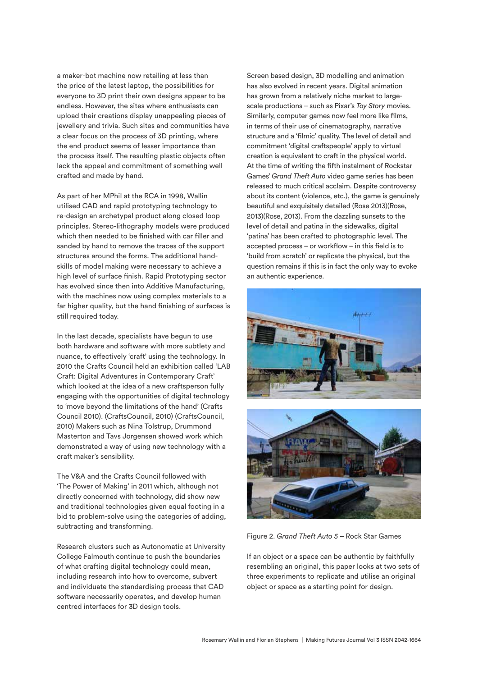a maker-bot machine now retailing at less than the price of the latest laptop, the possibilities for everyone to 3D print their own designs appear to be endless. However, the sites where enthusiasts can upload their creations display unappealing pieces of jewellery and trivia. Such sites and communities have a clear focus on the process of 3D printing, where the end product seems of lesser importance than the process itself. The resulting plastic objects often lack the appeal and commitment of something well crafted and made by hand.

As part of her MPhil at the RCA in 1998, Wallin utilised CAD and rapid prototyping technology to re-design an archetypal product along closed loop principles. Stereo-lithography models were produced which then needed to be finished with car filler and sanded by hand to remove the traces of the support structures around the forms. The additional handskills of model making were necessary to achieve a high level of surface fnish. Rapid Prototyping sector has evolved since then into Additive Manufacturing, with the machines now using complex materials to a far higher quality, but the hand finishing of surfaces is still required today.

In the last decade, specialists have begun to use both hardware and software with more subtlety and nuance, to efectively 'craft' using the technology. In 2010 the Crafts Council held an exhibition called 'LAB Craft: Digital Adventures in Contemporary Craft' which looked at the idea of a new craftsperson fully engaging with the opportunities of digital technology to 'move beyond the limitations of the hand' (Crafts Council 2010). (CraftsCouncil, 2010) (CraftsCouncil, 2010) Makers such as Nina Tolstrup, Drummond Masterton and Tavs Jorgensen showed work which demonstrated a way of using new technology with a craft maker's sensibility.

The V&A and the Crafts Council followed with 'The Power of Making' in 2011 which, although not directly concerned with technology, did show new and traditional technologies given equal footing in a bid to problem-solve using the categories of adding, subtracting and transforming.

Research clusters such as Autonomatic at University College Falmouth continue to push the boundaries of what crafting digital technology could mean, including research into how to overcome, subvert and individuate the standardising process that CAD software necessarily operates, and develop human centred interfaces for 3D design tools.

Screen based design, 3D modelling and animation has also evolved in recent years. Digital animation has grown from a relatively niche market to largescale productions – such as Pixar's *Toy Story* movies. Similarly, computer games now feel more like flms, in terms of their use of cinematography, narrative structure and a 'flmic' quality. The level of detail and commitment 'digital craftspeople' apply to virtual creation is equivalent to craft in the physical world. At the time of writing the ffth instalment of Rockstar Games' *Grand Theft Auto* video game series has been released to much critical acclaim. Despite controversy about its content (violence, etc.), the game is genuinely beautiful and exquisitely detailed (Rose 2013)(Rose, 2013)(Rose, 2013). From the dazzling sunsets to the level of detail and patina in the sidewalks, digital 'patina' has been crafted to photographic level. The accepted process – or workflow – in this field is to 'build from scratch' or replicate the physical, but the question remains if this is in fact the only way to evoke an authentic experience.





Figure 2. *Grand Theft Auto 5* – Rock Star Games

If an object or a space can be authentic by faithfully resembling an original, this paper looks at two sets of three experiments to replicate and utilise an original object or space as a starting point for design.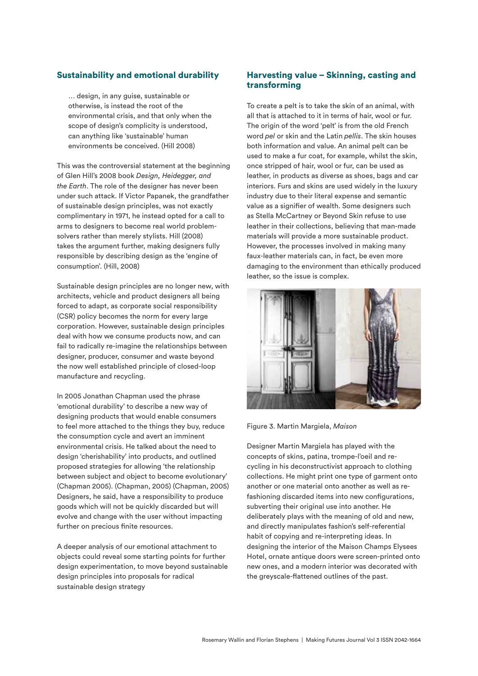# Sustainability and emotional durability

… design, in any guise, sustainable or otherwise, is instead the root of the environmental crisis, and that only when the scope of design's complicity is understood, can anything like 'sustainable' human environments be conceived. (Hill 2008)

This was the controversial statement at the beginning of Glen Hill's 2008 book *Design, Heidegger, and the Earth*. The role of the designer has never been under such attack. If Victor Papanek, the grandfather of sustainable design principles, was not exactly complimentary in 1971, he instead opted for a call to arms to designers to become real world problemsolvers rather than merely stylists. Hill (2008) takes the argument further, making designers fully responsible by describing design as the 'engine of consumption'. (Hill, 2008)

Sustainable design principles are no longer new, with architects, vehicle and product designers all being forced to adapt, as corporate social responsibility (CSR) policy becomes the norm for every large corporation. However, sustainable design principles deal with how we consume products now, and can fail to radically re-imagine the relationships between designer, producer, consumer and waste beyond the now well established principle of closed-loop manufacture and recycling.

In 2005 Jonathan Chapman used the phrase 'emotional durability' to describe a new way of designing products that would enable consumers to feel more attached to the things they buy, reduce the consumption cycle and avert an imminent environmental crisis. He talked about the need to design 'cherishability' into products, and outlined proposed strategies for allowing 'the relationship between subject and object to become evolutionary' (Chapman 2005). (Chapman, 2005) (Chapman, 2005) Designers, he said, have a responsibility to produce goods which will not be quickly discarded but will evolve and change with the user without impacting further on precious finite resources.

A deeper analysis of our emotional attachment to objects could reveal some starting points for further design experimentation, to move beyond sustainable design principles into proposals for radical sustainable design strategy

# Harvesting value – Skinning, casting and transforming

To create a pelt is to take the skin of an animal, with all that is attached to it in terms of hair, wool or fur. The origin of the word 'pelt' is from the old French word *pel* or skin and the Latin *pellis*. The skin houses both information and value. An animal pelt can be used to make a fur coat, for example, whilst the skin, once stripped of hair, wool or fur, can be used as leather, in products as diverse as shoes, bags and car interiors. Furs and skins are used widely in the luxury industry due to their literal expense and semantic value as a signifer of wealth. Some designers such as Stella McCartney or Beyond Skin refuse to use leather in their collections, believing that man-made materials will provide a more sustainable product. However, the processes involved in making many faux-leather materials can, in fact, be even more damaging to the environment than ethically produced leather, so the issue is complex.



Figure 3. Martin Margiela, *Maison*

Designer Martin Margiela has played with the concepts of skins, patina, trompe-l'oeil and recycling in his deconstructivist approach to clothing collections. He might print one type of garment onto another or one material onto another as well as refashioning discarded items into new configurations, subverting their original use into another. He deliberately plays with the meaning of old and new, and directly manipulates fashion's self-referential habit of copying and re-interpreting ideas. In designing the interior of the Maison Champs Elysees Hotel, ornate antique doors were screen-printed onto new ones, and a modern interior was decorated with the greyscale-fattened outlines of the past.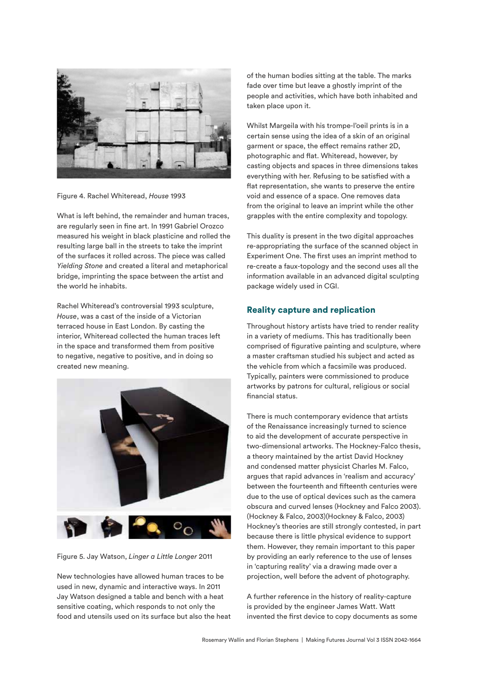

Figure 4. Rachel Whiteread, *House* 1993

What is left behind, the remainder and human traces, are regularly seen in fne art. In 1991 Gabriel Orozco measured his weight in black plasticine and rolled the resulting large ball in the streets to take the imprint of the surfaces it rolled across. The piece was called *Yielding Stone* and created a literal and metaphorical bridge, imprinting the space between the artist and the world he inhabits.

Rachel Whiteread's controversial 1993 sculpture, *House*, was a cast of the inside of a Victorian terraced house in East London. By casting the interior, Whiteread collected the human traces left in the space and transformed them from positive to negative, negative to positive, and in doing so created new meaning.



Figure 5. Jay Watson, *Linger a Little Longer* 2011

New technologies have allowed human traces to be used in new, dynamic and interactive ways. In 2011 Jay Watson designed a table and bench with a heat sensitive coating, which responds to not only the food and utensils used on its surface but also the heat of the human bodies sitting at the table. The marks fade over time but leave a ghostly imprint of the people and activities, which have both inhabited and taken place upon it.

Whilst Margeila with his trompe-l'oeil prints is in a certain sense using the idea of a skin of an original garment or space, the efect remains rather 2D, photographic and fat. Whiteread, however, by casting objects and spaces in three dimensions takes everything with her. Refusing to be satisfed with a fat representation, she wants to preserve the entire void and essence of a space. One removes data from the original to leave an imprint while the other grapples with the entire complexity and topology.

This duality is present in the two digital approaches re-appropriating the surface of the scanned object in Experiment One. The frst uses an imprint method to re-create a faux-topology and the second uses all the information available in an advanced digital sculpting package widely used in CGI.

# Reality capture and replication

Throughout history artists have tried to render reality in a variety of mediums. This has traditionally been comprised of fgurative painting and sculpture, where a master craftsman studied his subject and acted as the vehicle from which a facsimile was produced. Typically, painters were commissioned to produce artworks by patrons for cultural, religious or social financial status.

There is much contemporary evidence that artists of the Renaissance increasingly turned to science to aid the development of accurate perspective in two-dimensional artworks. The Hockney-Falco thesis, a theory maintained by the artist David Hockney and condensed matter physicist Charles M. Falco, argues that rapid advances in 'realism and accuracy' between the fourteenth and ffteenth centuries were due to the use of optical devices such as the camera obscura and curved lenses (Hockney and Falco 2003). (Hockney & Falco, 2003)(Hockney & Falco, 2003) Hockney's theories are still strongly contested, in part because there is little physical evidence to support them. However, they remain important to this paper by providing an early reference to the use of lenses in 'capturing reality' via a drawing made over a projection, well before the advent of photography.

A further reference in the history of reality-capture is provided by the engineer James Watt. Watt invented the frst device to copy documents as some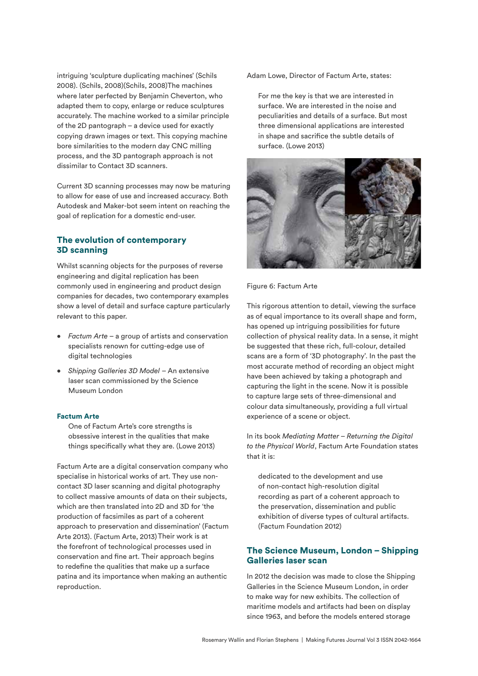intriguing 'sculpture duplicating machines' (Schils 2008). (Schils, 2008)(Schils, 2008)The machines where later perfected by Benjamin Cheverton, who adapted them to copy, enlarge or reduce sculptures accurately. The machine worked to a similar principle of the 2D pantograph – a device used for exactly copying drawn images or text. This copying machine bore similarities to the modern day CNC milling process, and the 3D pantograph approach is not dissimilar to Contact 3D scanners.

Current 3D scanning processes may now be maturing to allow for ease of use and increased accuracy. Both Autodesk and Maker-bot seem intent on reaching the goal of replication for a domestic end-user.

# The evolution of contemporary 3D scanning

Whilst scanning objects for the purposes of reverse engineering and digital replication has been commonly used in engineering and product design companies for decades, two contemporary examples show a level of detail and surface capture particularly relevant to this paper.

- *• Factum Arte* a group of artists and conservation specialists renown for cutting-edge use of digital technologies
- *• Shipping Galleries 3D Model* An extensive laser scan commissioned by the Science Museum London

#### Factum Arte

One of Factum Arte's core strengths is obsessive interest in the qualities that make things specifically what they are. (Lowe 2013)

Factum Arte are a digital conservation company who specialise in historical works of art. They use noncontact 3D laser scanning and digital photography to collect massive amounts of data on their subjects, which are then translated into 2D and 3D for 'the production of facsimiles as part of a coherent approach to preservation and dissemination' (Factum Arte 2013). (Factum Arte, 2013)Their work is at the forefront of technological processes used in conservation and fine art. Their approach begins to redefne the qualities that make up a surface patina and its importance when making an authentic reproduction.

Adam Lowe, Director of Factum Arte, states:

For me the key is that we are interested in surface. We are interested in the noise and peculiarities and details of a surface. But most three dimensional applications are interested in shape and sacrifce the subtle details of surface. (Lowe 2013)



#### Figure 6: Factum Arte

This rigorous attention to detail, viewing the surface as of equal importance to its overall shape and form, has opened up intriguing possibilities for future collection of physical reality data. In a sense, it might be suggested that these rich, full-colour, detailed scans are a form of '3D photography'. In the past the most accurate method of recording an object might have been achieved by taking a photograph and capturing the light in the scene. Now it is possible to capture large sets of three-dimensional and colour data simultaneously, providing a full virtual experience of a scene or object.

In its book *Mediating Matter – Returning the Digital to the Physical World*, Factum Arte Foundation states that it is:

dedicated to the development and use of non-contact high-resolution digital recording as part of a coherent approach to the preservation, dissemination and public exhibition of diverse types of cultural artifacts. (Factum Foundation 2012)

# The Science Museum, London – Shipping Galleries laser scan

In 2012 the decision was made to close the Shipping Galleries in the Science Museum London, in order to make way for new exhibits. The collection of maritime models and artifacts had been on display since 1963, and before the models entered storage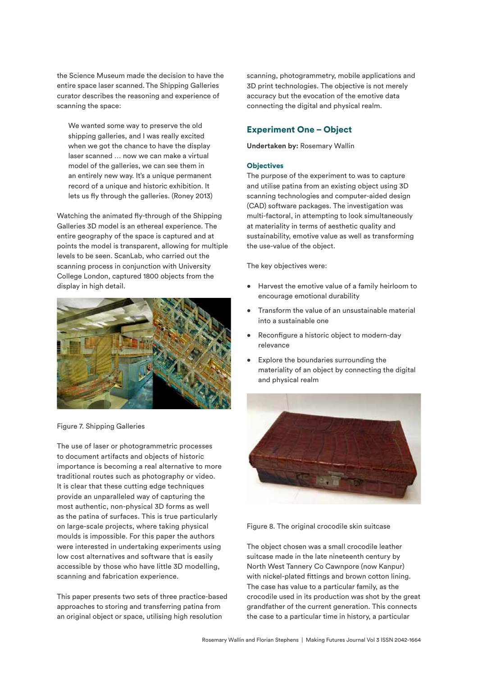the Science Museum made the decision to have the entire space laser scanned.The Shipping Galleries curator describes the reasoning and experience of scanning the space:

We wanted some way to preserve the old shipping galleries, and I was really excited when we got the chance to have the display laser scanned … now we can make a virtual model of the galleries, we can see them in an entirely new way. It's a unique permanent record of a unique and historic exhibition. It lets us fy through the galleries. (Roney 2013)

Watching the animated fy-through of the Shipping Galleries 3D model is an ethereal experience. The entire geography of the space is captured and at points the model is transparent, allowing for multiple levels to be seen. ScanLab, who carried out the scanning process in conjunction with University College London, captured 1800 objects from the display in high detail.



Figure 7. Shipping Galleries

The use of laser or photogrammetric processes to document artifacts and objects of historic importance is becoming a real alternative to more traditional routes such as photography or video. It is clear that these cutting edge techniques provide an unparalleled way of capturing the most authentic, non-physical 3D forms as well as the patina of surfaces. This is true particularly on large-scale projects, where taking physical moulds is impossible. For this paper the authors were interested in undertaking experiments using low cost alternatives and software that is easily accessible by those who have little 3D modelling, scanning and fabrication experience.

This paper presents two sets of three practice-based approaches to storing and transferring patina from an original object or space, utilising high resolution

scanning, photogrammetry, mobile applications and 3D print technologies. The objective is not merely accuracy but the evocation of the emotive data connecting the digital and physical realm.

# Experiment One – Object

**Undertaken by:** Rosemary Wallin

#### **Objectives**

The purpose of the experiment to was to capture and utilise patina from an existing object using 3D scanning technologies and computer-aided design (CAD) software packages. The investigation was multi-factoral, in attempting to look simultaneously at materiality in terms of aesthetic quality and sustainability, emotive value as well as transforming the use-value of the object.

The key objectives were:

- Harvest the emotive value of a family heirloom to encourage emotional durability
- Transform the value of an unsustainable material into a sustainable one
- Reconfigure a historic object to modern-day relevance
- Explore the boundaries surrounding the materiality of an object by connecting the digital and physical realm



Figure 8. The original crocodile skin suitcase

The object chosen was a small crocodile leather suitcase made in the late nineteenth century by North West Tannery Co Cawnpore (now Kanpur) with nickel-plated fttings and brown cotton lining. The case has value to a particular family, as the crocodile used in its production was shot by the great grandfather of the current generation. This connects the case to a particular time in history, a particular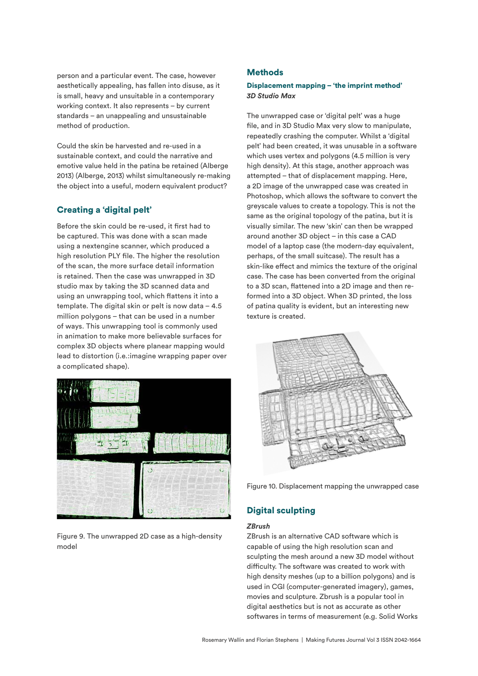person and a particular event. The case, however aesthetically appealing, has fallen into disuse, as it is small, heavy and unsuitable in a contemporary working context. It also represents – by current standards – an unappealing and unsustainable method of production.

Could the skin be harvested and re-used in a sustainable context, and could the narrative and emotive value held in the patina be retained (Alberge 2013) (Alberge, 2013) whilst simultaneously re-making the object into a useful, modern equivalent product?

# Creating a 'digital pelt'

Before the skin could be re-used, it frst had to be captured. This was done with a scan made using a nextengine scanner, which produced a high resolution PLY fle. The higher the resolution of the scan, the more surface detail information is retained. Then the case was unwrapped in 3D studio max by taking the 3D scanned data and using an unwrapping tool, which fattens it into a template. The digital skin or pelt is now data  $-4.5$ million polygons – that can be used in a number of ways. This unwrapping tool is commonly used in animation to make more believable surfaces for complex 3D objects where planear mapping would lead to distortion (i.e.:imagine wrapping paper over a complicated shape).



Figure 9. The unwrapped 2D case as a high-density model

## **Methods**

## Displacement mapping – 'the imprint method' *3D Studio Max*

The unwrapped case or 'digital pelt' was a huge file, and in 3D Studio Max very slow to manipulate, repeatedly crashing the computer. Whilst a 'digital pelt' had been created, it was unusable in a software which uses vertex and polygons (4.5 million is very high density). At this stage, another approach was attempted – that of displacement mapping. Here, a 2D image of the unwrapped case was created in Photoshop, which allows the software to convert the greyscale values to create a topology. This is not the same as the original topology of the patina, but it is visually similar. The new 'skin' can then be wrapped around another 3D object – in this case a CAD model of a laptop case (the modern-day equivalent, perhaps, of the small suitcase). The result has a skin-like efect and mimics the texture of the original case. The case has been converted from the original to a 3D scan, fattened into a 2D image and then reformed into a 3D object. When 3D printed, the loss of patina quality is evident, but an interesting new texture is created.



Figure 10. Displacement mapping the unwrapped case

# Digital sculpting

#### *ZBrush*

ZBrush is an alternative CAD software which is capable of using the high resolution scan and sculpting the mesh around a new 3D model without difficulty. The software was created to work with high density meshes (up to a billion polygons) and is used in CGI (computer-generated imagery), games, movies and sculpture. Zbrush is a popular tool in digital aesthetics but is not as accurate as other softwares in terms of measurement (e.g. Solid Works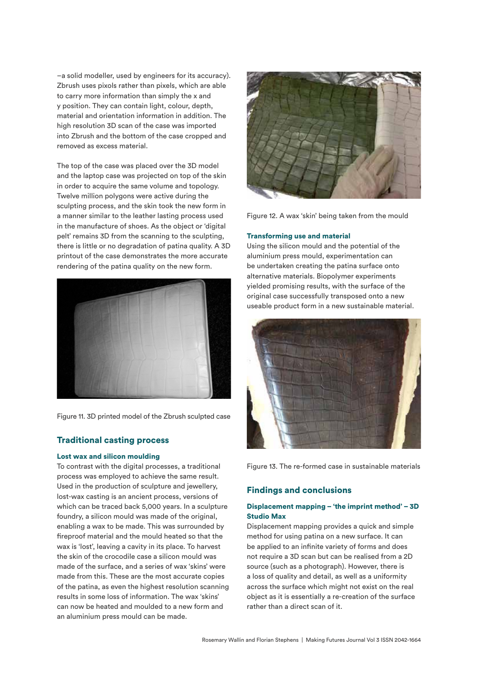–a solid modeller, used by engineers for its accuracy). Zbrush uses pixols rather than pixels, which are able to carry more information than simply the x and y position. They can contain light, colour, depth, material and orientation information in addition. The high resolution 3D scan of the case was imported into Zbrush and the bottom of the case cropped and removed as excess material.

The top of the case was placed over the 3D model and the laptop case was projected on top of the skin in order to acquire the same volume and topology. Twelve million polygons were active during the sculpting process, and the skin took the new form in a manner similar to the leather lasting process used in the manufacture of shoes. As the object or 'digital pelt' remains 3D from the scanning to the sculpting, there is little or no degradation of patina quality. A 3D printout of the case demonstrates the more accurate rendering of the patina quality on the new form.



Figure 11. 3D printed model of the Zbrush sculpted case

#### Traditional casting process

#### Lost wax and silicon moulding

To contrast with the digital processes, a traditional process was employed to achieve the same result. Used in the production of sculpture and jewellery, lost-wax casting is an ancient process, versions of which can be traced back 5,000 years. In a sculpture foundry, a silicon mould was made of the original, enabling a wax to be made. This was surrounded by freproof material and the mould heated so that the wax is 'lost', leaving a cavity in its place. To harvest the skin of the crocodile case a silicon mould was made of the surface, and a series of wax 'skins' were made from this. These are the most accurate copies of the patina, as even the highest resolution scanning results in some loss of information. The wax 'skins' can now be heated and moulded to a new form and an aluminium press mould can be made.



Figure 12. A wax 'skin' being taken from the mould

#### Transforming use and material

Using the silicon mould and the potential of the aluminium press mould, experimentation can be undertaken creating the patina surface onto alternative materials. Biopolymer experiments yielded promising results, with the surface of the original case successfully transposed onto a new useable product form in a new sustainable material.



Figure 13. The re-formed case in sustainable materials

#### Findings and conclusions

## Displacement mapping – 'the imprint method' – 3D Studio Max

Displacement mapping provides a quick and simple method for using patina on a new surface. It can be applied to an infinite variety of forms and does not require a 3D scan but can be realised from a 2D source (such as a photograph). However, there is a loss of quality and detail, as well as a uniformity across the surface which might not exist on the real object as it is essentially a re-creation of the surface rather than a direct scan of it.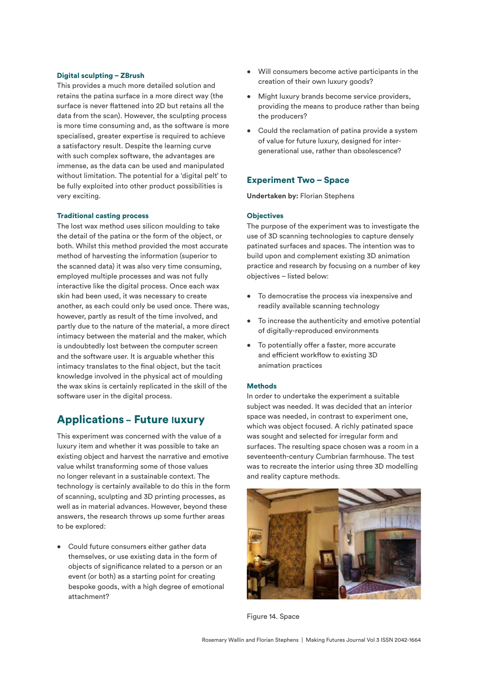#### Digital sculpting – ZBrush

This provides a much more detailed solution and retains the patina surface in a more direct way (the surface is never fattened into 2D but retains all the data from the scan). However, the sculpting process is more time consuming and, as the software is more specialised, greater expertise is required to achieve a satisfactory result. Despite the learning curve with such complex software, the advantages are immense, as the data can be used and manipulated without limitation. The potential for a 'digital pelt' to be fully exploited into other product possibilities is very exciting.

#### Traditional casting process

The lost wax method uses silicon moulding to take the detail of the patina or the form of the object, or both. Whilst this method provided the most accurate method of harvesting the information (superior to the scanned data) it was also very time consuming, employed multiple processes and was not fully interactive like the digital process. Once each wax skin had been used, it was necessary to create another, as each could only be used once. There was, however, partly as result of the time involved, and partly due to the nature of the material, a more direct intimacy between the material and the maker, which is undoubtedly lost between the computer screen and the software user. It is arguable whether this intimacy translates to the final object, but the tacit knowledge involved in the physical act of moulding the wax skins is certainly replicated in the skill of the software user in the digital process.

# Applications – Future luxury

This experiment was concerned with the value of a luxury item and whether it was possible to take an existing object and harvest the narrative and emotive value whilst transforming some of those values no longer relevant in a sustainable context. The technology is certainly available to do this in the form of scanning, sculpting and 3D printing processes, as well as in material advances. However, beyond these answers, the research throws up some further areas to be explored:

• Could future consumers either gather data themselves, or use existing data in the form of objects of signifcance related to a person or an event (or both) as a starting point for creating bespoke goods, with a high degree of emotional attachment?

- Will consumers become active participants in the creation of their own luxury goods?
- Might luxury brands become service providers, providing the means to produce rather than being the producers?
- Could the reclamation of patina provide a system of value for future luxury, designed for intergenerational use, rather than obsolescence?

## Experiment Two – Space

**Undertaken by:** Florian Stephens

#### **Objectives**

The purpose of the experiment was to investigate the use of 3D scanning technologies to capture densely patinated surfaces and spaces. The intention was to build upon and complement existing 3D animation practice and research by focusing on a number of key objectives – listed below:

- To democratise the process via inexpensive and readily available scanning technology
- To increase the authenticity and emotive potential of digitally-reproduced environments
- To potentially offer a faster, more accurate and efficient workflow to existing 3D animation practices

#### **Methods**

In order to undertake the experiment a suitable subject was needed. It was decided that an interior space was needed, in contrast to experiment one, which was object focused. A richly patinated space was sought and selected for irregular form and surfaces. The resulting space chosen was a room in a seventeenth-century Cumbrian farmhouse. The test was to recreate the interior using three 3D modelling and reality capture methods.



Figure 14. Space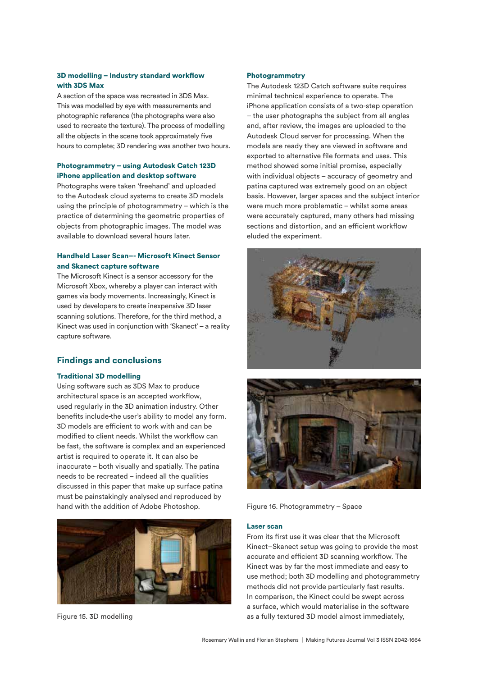## 3D modelling – Industry standard workfow with 3DS Max

A section of the space was recreated in 3DS Max. This was modelled by eye with measurements and photographic reference (the photographs were also used to recreate the texture). The process of modelling all the objects in the scene took approximately five hours to complete; 3D rendering was another two hours.

## Photogrammetry – using Autodesk Catch 123D iPhone application and desktop software

Photographs were taken 'freehand' and uploaded to the Autodesk cloud systems to create 3D models using the principle of photogrammetry – which is the practice of determining the geometric properties of objects from photographic images. The model was available to download several hours later.

## Handheld Laser Scan–- Microsoft Kinect Sensor and Skanect capture software

The Microsoft Kinect is a sensor accessory for the Microsoft Xbox, whereby a player can interact with games via body movements. Increasingly, Kinect is used by developers to create inexpensive 3D laser scanning solutions. Therefore, for the third method, a Kinect was used in conjunction with 'Skanect' – a reality capture software.

# Findings and conclusions

#### Traditional 3D modelling

Using software such as 3DS Max to produce architectural space is an accepted workflow, used regularly in the 3D animation industry. Other benefits include-the user's ability to model any form. 3D models are efficient to work with and can be modified to client needs. Whilst the workflow can be fast, the software is complex and an experienced artist is required to operate it. It can also be inaccurate – both visually and spatially. The patina needs to be recreated – indeed all the qualities discussed in this paper that make up surface patina must be painstakingly analysed and reproduced by hand with the addition of Adobe Photoshop.



Figure 15. 3D modelling

#### Photogrammetry

The Autodesk 123D Catch software suite requires minimal technical experience to operate. The iPhone application consists of a two-step operation – the user photographs the subject from all angles and, after review, the images are uploaded to the Autodesk Cloud server for processing. When the models are ready they are viewed in software and exported to alternative fle formats and uses. This method showed some initial promise, especially with individual objects – accuracy of geometry and patina captured was extremely good on an object basis. However, larger spaces and the subject interior were much more problematic – whilst some areas were accurately captured, many others had missing sections and distortion, and an efficient workflow eluded the experiment.





Figure 16. Photogrammetry – Space

#### Laser scan

From its frst use it was clear that the Microsoft Kinect–Skanect setup was going to provide the most accurate and efficient 3D scanning workflow. The Kinect was by far the most immediate and easy to use method; both 3D modelling and photogrammetry methods did not provide particularly fast results. In comparison, the Kinect could be swept across a surface, which would materialise in the software as a fully textured 3D model almost immediately,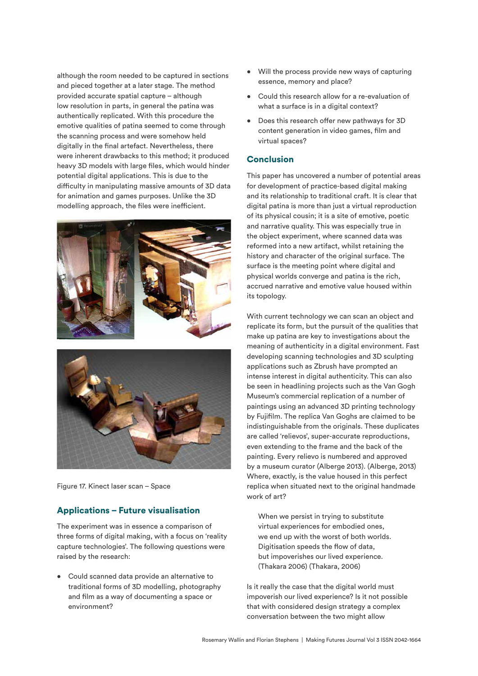although the room needed to be captured in sections and pieced together at a later stage. The method provided accurate spatial capture – although low resolution in parts, in general the patina was authentically replicated. With this procedure the emotive qualities of patina seemed to come through the scanning process and were somehow held digitally in the final artefact. Nevertheless, there were inherent drawbacks to this method; it produced heavy 3D models with large files, which would hinder potential digital applications. This is due to the difficulty in manipulating massive amounts of 3D data for animation and games purposes. Unlike the 3D modelling approach, the files were inefficient.





Figure 17. Kinect laser scan – Space

# Applications – Future visualisation

The experiment was in essence a comparison of three forms of digital making, with a focus on 'reality capture technologies'. The following questions were raised by the research:

• Could scanned data provide an alternative to traditional forms of 3D modelling, photography and flm as a way of documenting a space or environment?

- Will the process provide new ways of capturing essence, memory and place?
- Could this research allow for a re-evaluation of what a surface is in a digital context?
- Does this research offer new pathways for 3D content generation in video games, flm and virtual spaces?

## **Conclusion**

This paper has uncovered a number of potential areas for development of practice-based digital making and its relationship to traditional craft. It is clear that digital patina is more than just a virtual reproduction of its physical cousin; it is a site of emotive, poetic and narrative quality. This was especially true in the object experiment, where scanned data was reformed into a new artifact, whilst retaining the history and character of the original surface. The surface is the meeting point where digital and physical worlds converge and patina is the rich, accrued narrative and emotive value housed within its topology.

With current technology we can scan an object and replicate its form, but the pursuit of the qualities that make up patina are key to investigations about the meaning of authenticity in a digital environment. Fast developing scanning technologies and 3D sculpting applications such as Zbrush have prompted an intense interest in digital authenticity. This can also be seen in headlining projects such as the Van Gogh Museum's commercial replication of a number of paintings using an advanced 3D printing technology by Fujiflm. The replica Van Goghs are claimed to be indistinguishable from the originals. These duplicates are called 'relievos', super-accurate reproductions, even extending to the frame and the back of the painting. Every relievo is numbered and approved by a museum curator (Alberge 2013). (Alberge, 2013) Where, exactly, is the value housed in this perfect replica when situated next to the original handmade work of art?

When we persist in trying to substitute virtual experiences for embodied ones, we end up with the worst of both worlds. Digitisation speeds the fow of data, but impoverishes our lived experience. (Thakara 2006) (Thakara, 2006)

Is it really the case that the digital world must impoverish our lived experience? Is it not possible that with considered design strategy a complex conversation between the two might allow